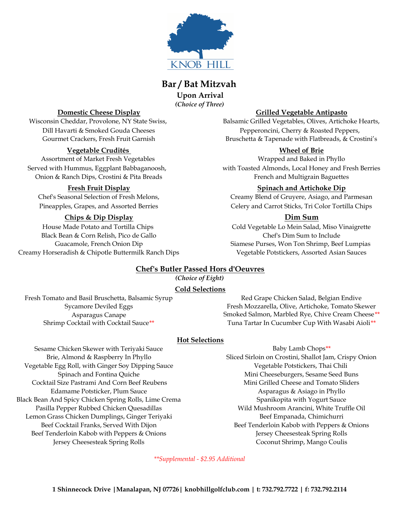

# **Bar / Bat Mitzvah**

**Upon Arrival** *(Choice of Three)*

## **Vegetable Crudités Wheel of Brie**

Assortment of Market Fresh Vegetables Wrapped and Baked in Phyllo Onion & Ranch Dips, Crostini & Pita Breads French and Multigrain Baguettes

## **Chips & Dip Display Dim Sum**

Black Bean & Corn Relish, Pico de Gallo Chef's Dim Sum to Include Creamy Horseradish & Chipotle Buttermilk Ranch Dips Vegetable Potstickers, Assorted Asian Sauces

### **Domestic Cheese Display Grilled Vegetable Antipasto**

Wisconsin Cheddar, Provolone, NY State Swiss, Balsamic Grilled Vegetables, Olives, Artichoke Hearts, Dill Havarti & Smoked Gouda Cheeses Pepperoncini, Cherry & Roasted Peppers, Gourmet Crackers, Fresh Fruit Garnish Bruschetta & Tapenade with Flatbreads, & Crostini's

Served with Hummus, Eggplant Babbaganoosh, with Toasted Almonds, Local Honey and Fresh Berries

### **Fresh Fruit Display Spinach and Artichoke Dip**

Chef's Seasonal Selection of Fresh Melons, Creamy Blend of Gruyere, Asiago, and Parmesan Pineapples, Grapes, and Assorted Berries Celery and Carrot Sticks, Tri Color Tortilla Chips

House Made Potato and Tortilla Chips Cold Vegetable Lo Mein Salad, Miso Vinaigrette Guacamole, French Onion Dip Siamese Purses, Won Ton Shrimp, Beef Lumpias

## **Chef's Butler Passed Hors d'Oeuvres**

*(Choice of Eight)*

## **Cold Selections**

Fresh Tomato and Basil Bruschetta, Balsamic Syrup Red Grape Chicken Salad, Belgian Endive

Sycamore Deviled Eggs Fresh Mozzarella, Olive, Artichoke, Tomato Skewer Asparagus Canape Smoked Salmon, Marbled Rye, Chive Cream Cheese\*\* Shrimp Cocktail with Cocktail Sauce<sup>\*\*</sup> Tuna Tartar In Cucumber Cup With Wasabi Aioli<sup>\*\*</sup>

## **Hot Selections**

Sesame Chicken Skewer with Teriyaki Sauce Baby Lamb Chops<sup>\*\*</sup> Vegetable Egg Roll, with Ginger Soy Dipping Sauce Vegetable Potstickers, Thai Chili Cocktail Size Pastrami And Corn Beef Reubens Mini Grilled Cheese and Tomato Sliders Edamame Potsticker, Plum Sauce **Assume Asparagus & Asiago in Phyllo** Asparagus & Asiago in Phyllo Black Bean And Spicy Chicken Spring Rolls, Lime Crema Spanikopita with Yogurt Sauce Pasilla Pepper Rubbed Chicken Quesadillas Wild Mushroom Arancini, White Truffle Oil Lemon Grass Chicken Dumplings, Ginger Teriyaki **Beef Empanada, Chimichurri** Beef Empanada, Chimichurri Beef Tenderloin Kabob with Peppers & Onions Jersey Cheesesteak Spring Rolls Jersey Cheesesteak Spring Rolls Coconut Shrimp, Mango Coulis

Brie, Almond & Raspberry In Phyllo Sliced Sirloin on Crostini, Shallot Jam, Crispy Onion Spinach and Fontina Quiche Mini Cheeseburgers, Sesame Seed Buns Beef Cocktail Franks, Served With Dijon Beef Tenderloin Kabob with Peppers & Onions

*\*\*Supplemental - \$2.95 Additional*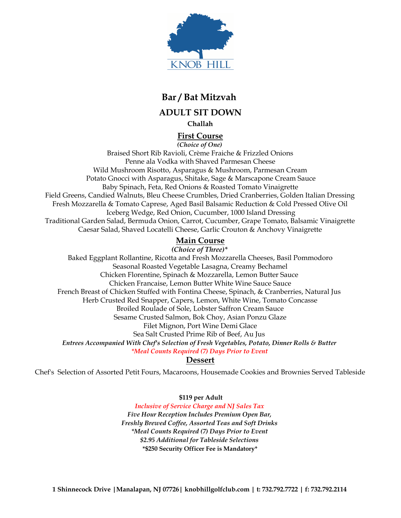

# **Bar / Bat Mitzvah**

**ADULT SIT DOWN**

**Challah**

## **First Course**

*(Choice of One)* Braised Short Rib Ravioli, Crème Fraiche & Frizzled Onions Penne ala Vodka with Shaved Parmesan Cheese Wild Mushroom Risotto, Asparagus & Mushroom, Parmesan Cream Potato Gnocci with Asparagus, Shitake, Sage & Marscapone Cream Sauce Baby Spinach, Feta, Red Onions & Roasted Tomato Vinaigrette Field Greens, Candied Walnuts, Bleu Cheese Crumbles, Dried Cranberries, Golden Italian Dressing Fresh Mozzarella & Tomato Caprese, Aged Basil Balsamic Reduction & Cold Pressed Olive Oil Iceberg Wedge, Red Onion, Cucumber, 1000 Island Dressing Traditional Garden Salad, Bermuda Onion, Carrot, Cucumber, Grape Tomato, Balsamic Vinaigrette Caesar Salad, Shaved Locatelli Cheese, Garlic Crouton & Anchovy Vinaigrette

# **Main Course**

*(Choice of Three)\**

Baked Eggplant Rollantine, Ricotta and Fresh Mozzarella Cheeses, Basil Pommodoro Seasonal Roasted Vegetable Lasagna, Creamy Bechamel Chicken Florentine, Spinach & Mozzarella, Lemon Butter Sauce Chicken Francaise, Lemon Butter White Wine Sauce Sauce French Breast of Chicken Stuffed with Fontina Cheese, Spinach, & Cranberries, Natural Jus Herb Crusted Red Snapper, Capers, Lemon, White Wine, Tomato Concasse Broiled Roulade of Sole, Lobster Saffron Cream Sauce Sesame Crusted Salmon, Bok Choy, Asian Ponzu Glaze Filet Mignon, Port Wine Demi Glace Sea Salt Crusted Prime Rib of Beef, Au Jus *Entrees Accompanied With Chef's Selection of Fresh Vegetables, Potato, Dinner Rolls & Butter \*Meal Counts Required (7) Days Prior to Event*

**Dessert**

Chef's Selection of Assorted Petit Fours, Macaroons, Housemade Cookies and Brownies Served Tableside

 **\$119 per Adult**

*Inclusive of Service Charge and NJ Sales Tax Five Hour Reception Includes Premium Open Bar, Freshly Brewed Coffee, Assorted Teas and Soft Drinks \*Meal Counts Required (7) Days Prior to Event \$2.95 Additional for Tableside Selections* **\*\$250 Security Officer Fee is Mandatory\***